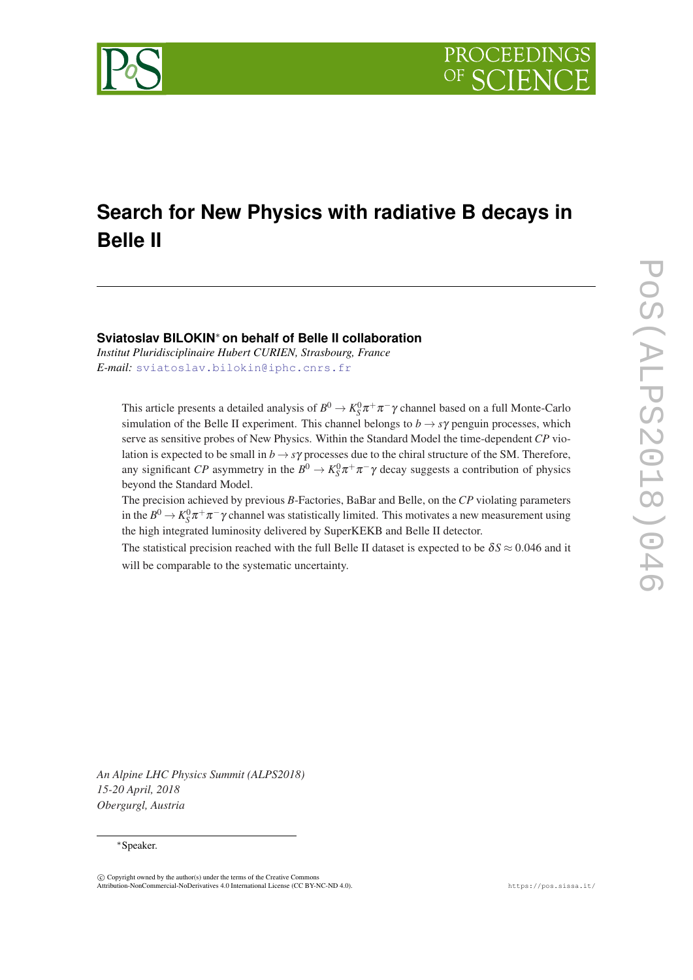

# **Search for New Physics with radiative B decays in Belle II**

# **Sviatoslav BILOKIN**<sup>∗</sup> **on behalf of Belle II collaboration**

*Institut Pluridisciplinaire Hubert CURIEN, Strasbourg, France E-mail:* [sviatoslav.bilokin@iphc.cnrs.fr](mailto:sviatoslav.bilokin@iphc.cnrs.fr)

This article presents a detailed analysis of  $B^0 \to K_S^0 \pi^+ \pi^- \gamma$  channel based on a full Monte-Carlo simulation of the Belle II experiment. This channel belongs to  $b \rightarrow s\gamma$  penguin processes, which serve as sensitive probes of New Physics. Within the Standard Model the time-dependent *CP* violation is expected to be small in  $b \rightarrow s\gamma$  processes due to the chiral structure of the SM. Therefore, any significant *CP* asymmetry in the  $B^0 \to K_S^0 \pi^+ \pi^- \gamma$  decay suggests a contribution of physics beyond the Standard Model.

The precision achieved by previous *B*-Factories, BaBar and Belle, on the *CP* violating parameters in the  $B^0 \to K_S^0 \pi^+ \pi^- \gamma$  channel was statistically limited. This motivates a new measurement using the high integrated luminosity delivered by SuperKEKB and Belle II detector.

The statistical precision reached with the full Belle II dataset is expected to be  $\delta S \approx 0.046$  and it will be comparable to the systematic uncertainty.

*An Alpine LHC Physics Summit (ALPS2018) 15-20 April, 2018 Obergurgl, Austria*

#### <sup>∗</sup>Speaker.

 $\overline{c}$  Copyright owned by the author(s) under the terms of the Creative Commons Attribution-NonCommercial-NoDerivatives 4.0 International License (CC BY-NC-ND 4.0). https://pos.sissa.it/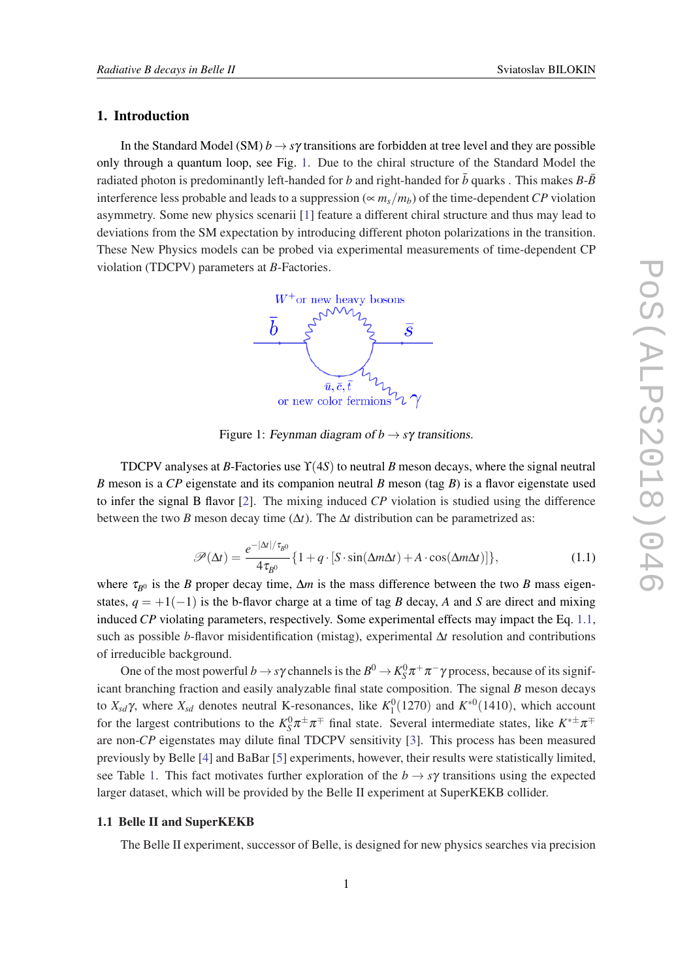### <span id="page-1-0"></span>1. Introduction

In the Standard Model (SM)  $b \rightarrow s\gamma$  transitions are forbidden at tree level and they are possible only through a quantum loop, see Fig. 1. Due to the chiral structure of the Standard Model the radiated photon is predominantly left-handed for *b* and right-handed for  $\bar{b}$  quarks . This makes  $B$ - $\bar{B}$ interference less probable and leads to a suppression (∝ *ms*/*mb*) of the time-dependent*CP* violation asymmetry. Some new physics scenarii [\[1](#page-5-0)] feature a different chiral structure and thus may lead to deviations from the SM expectation by introducing different photon polarizations in the transition. These New Physics models can be probed via experimental measurements of time-dependent CP violation (TDCPV) parameters at *B*-Factories.



Figure 1: Feynman diagram of  $b \rightarrow s\gamma$  transitions.

TDCPV analyses at *B*-Factories use ϒ(4*S*) to neutral *B* meson decays, where the signal neutral *B* meson is a *CP* eigenstate and its companion neutral *B* meson (tag *B*) is a flavor eigenstate used to infer the signal B flavor [[2](#page-5-0)]. The mixing induced *CP* violation is studied using the difference between the two *B* meson decay time  $(\Delta t)$ . The  $\Delta t$  distribution can be parametrized as:

$$
\mathcal{P}(\Delta t) = \frac{e^{-|\Delta t|/\tau_{B^0}}}{4\tau_{B^0}} \{1 + q \cdot [S \cdot \sin(\Delta m \Delta t) + A \cdot \cos(\Delta m \Delta t)]\},\tag{1.1}
$$

where  $\tau_{B0}$  is the *B* proper decay time,  $\Delta m$  is the mass difference between the two *B* mass eigenstates,  $q = +1(-1)$  is the b-flavor charge at a time of tag *B* decay, *A* and *S* are direct and mixing induced *CP* violating parameters, respectively. Some experimental effects may impact the Eq. 1.1, such as possible *b*-flavor misidentification (mistag), experimental ∆*t* resolution and contributions of irreducible background.

One of the most powerful  $b \to s\gamma$  channels is the  $B^0 \to K_S^0 \pi^+\pi^-\gamma$  process, because of its significant branching fraction and easily analyzable final state composition. The signal *B* meson decays to  $X_{sd}\gamma$ , where  $X_{sd}$  denotes neutral K-resonances, like  $K_1^0(1270)$  and  $K^{*0}(1410)$ , which account for the largest contributions to the  $K_S^0 \pi^{\pm} \pi^{\mp}$  final state. Several intermediate states, like  $K^{*\pm} \pi^{\mp}$ are non-*CP* eigenstates may dilute final TDCPV sensitivity [\[3\]](#page-5-0). This process has been measured previously by Belle [[4](#page-5-0)] and BaBar [[5](#page-5-0)] experiments, however, their results were statistically limited, see Table [1.](#page-2-0) This fact motivates further exploration of the  $b \rightarrow s\gamma$  transitions using the expected larger dataset, which will be provided by the Belle II experiment at SuperKEKB collider.

# 1.1 Belle II and SuperKEKB

The Belle II experiment, successor of Belle, is designed for new physics searches via precision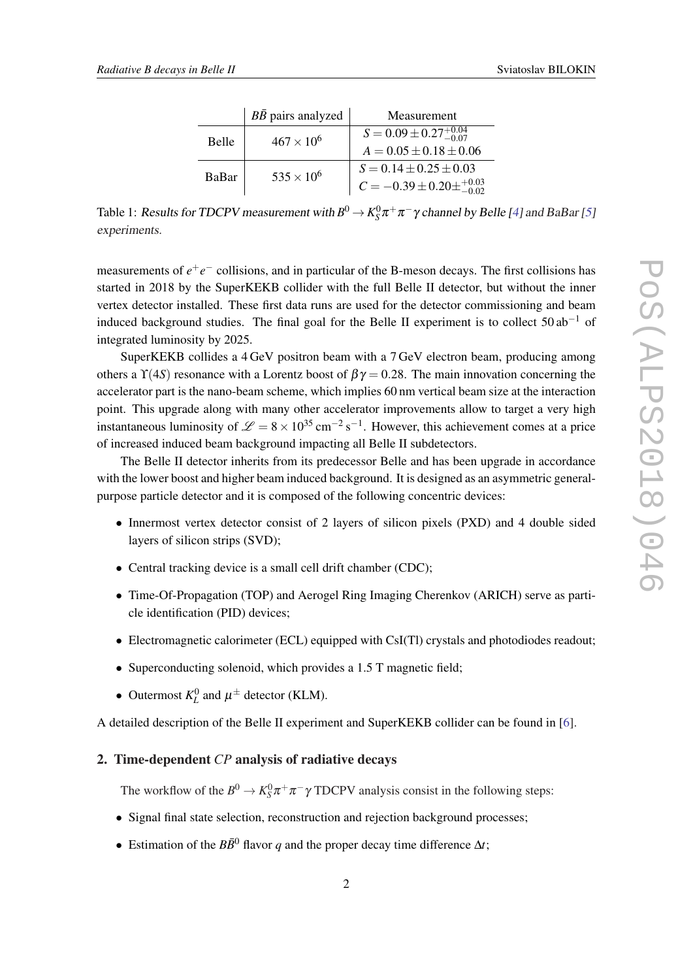<span id="page-2-0"></span>

|              | $B\bar{B}$ pairs analyzed | Measurement                                 |
|--------------|---------------------------|---------------------------------------------|
| <b>Belle</b> | $467 \times 10^{6}$       | $S = 0.09 \pm 0.27^{+0.04}_{-0.07}$         |
|              |                           | $A = 0.05 \pm 0.18 \pm 0.06$                |
| BaBar        | $535 \times 10^{6}$       | $S = 0.14 \pm 0.25 \pm 0.03$                |
|              |                           | $C = -0.39 \pm 0.20 \pm {}^{+0.03}_{-0.02}$ |

Table 1: Results for TDCPV measurement with  $B^0\to K^0_S\pi^+\pi^-\gamma$  channel by Belle [\[4\]](#page-5-0) and BaBar [[5](#page-5-0)] experiments.

measurements of  $e^+e^-$  collisions, and in particular of the B-meson decays. The first collisions has started in 2018 by the SuperKEKB collider with the full Belle II detector, but without the inner vertex detector installed. These first data runs are used for the detector commissioning and beam induced background studies. The final goal for the Belle II experiment is to collect  $50 ab^{-1}$  of integrated luminosity by 2025.

SuperKEKB collides a 4 GeV positron beam with a 7 GeV electron beam, producing among others a  $\Upsilon(4S)$  resonance with a Lorentz boost of  $\beta\gamma = 0.28$ . The main innovation concerning the accelerator part is the nano-beam scheme, which implies 60 nm vertical beam size at the interaction point. This upgrade along with many other accelerator improvements allow to target a very high instantaneous luminosity of  $\mathcal{L} = 8 \times 10^{35} \text{ cm}^{-2} \text{ s}^{-1}$ . However, this achievement comes at a price of increased induced beam background impacting all Belle II subdetectors.

The Belle II detector inherits from its predecessor Belle and has been upgrade in accordance with the lower boost and higher beam induced background. It is designed as an asymmetric generalpurpose particle detector and it is composed of the following concentric devices:

- Innermost vertex detector consist of 2 layers of silicon pixels (PXD) and 4 double sided layers of silicon strips (SVD);
- Central tracking device is a small cell drift chamber (CDC);
- Time-Of-Propagation (TOP) and Aerogel Ring Imaging Cherenkov (ARICH) serve as particle identification (PID) devices;
- Electromagnetic calorimeter (ECL) equipped with CsI(Tl) crystals and photodiodes readout;
- Superconducting solenoid, which provides a 1.5 T magnetic field;
- Outermost  $K^0_L$  and  $\mu^{\pm}$  detector (KLM).

A detailed description of the Belle II experiment and SuperKEKB collider can be found in [\[6](#page-5-0)].

## 2. Time-dependent *CP* analysis of radiative decays

The workflow of the  $B^0 \to K_S^0 \pi^+ \pi^- \gamma$  TDCPV analysis consist in the following steps:

- Signal final state selection, reconstruction and rejection background processes;
- Estimation of the  $B\overline{B}^0$  flavor *q* and the proper decay time difference  $\Delta t$ ;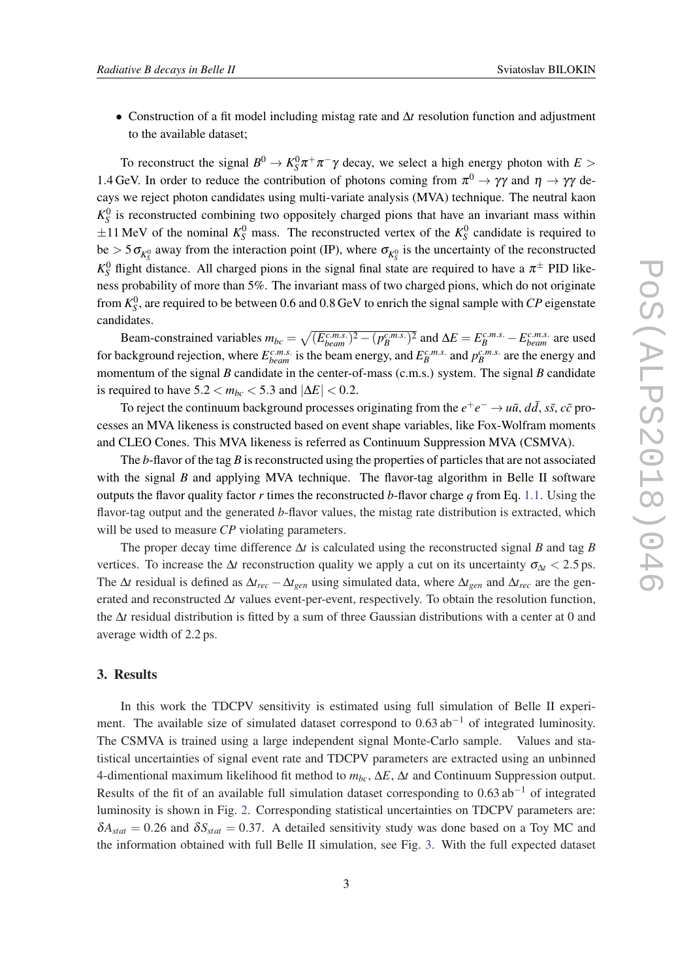• Construction of a fit model including mistag rate and ∆*t* resolution function and adjustment to the available dataset;

To reconstruct the signal  $B^0 \to K_S^0 \pi^+ \pi^- \gamma$  decay, we select a high energy photon with  $E >$ 1.4 GeV. In order to reduce the contribution of photons coming from  $\pi^0 \to \gamma \gamma$  and  $\eta \to \gamma \gamma$  decays we reject photon candidates using multi-variate analysis (MVA) technique. The neutral kaon  $K_S^0$  is reconstructed combining two oppositely charged pions that have an invariant mass within  $\pm 11$  MeV of the nominal  $K_S^0$  mass. The reconstructed vertex of the  $K_S^0$  candidate is required to be  $>$  5 $\sigma_{K_S^0}$  away from the interaction point (IP), where  $\sigma_{K_S^0}$  is the uncertainty of the reconstructed  $K_S^0$  flight distance. All charged pions in the signal final state are required to have a  $\pi^{\pm}$  PID likeness probability of more than 5%. The invariant mass of two charged pions, which do not originate from  $K_S^0$ , are required to be between 0.6 and 0.8 GeV to enrich the signal sample with *CP* eigenstate candidates.

Beam-constrained variables  $m_{bc} = \sqrt{(E_{beam}^{c.m.s.})^2 - (p_B^{c.m.s.})^2}$  and  $\Delta E = E_B^{c.m.s.} - E_{beam}^{c.m.s.}$  are used for background rejection, where  $E_{beam}^{c.m.s.}$  is the beam energy, and  $E_B^{c.m.s.}$  and  $p_B^{c.m.s.}$  are the energy and momentum of the signal *B* candidate in the center-of-mass (c.m.s.) system. The signal *B* candidate is required to have  $5.2 < m_{bc} < 5.3$  and  $|\Delta E| < 0.2$ .

To reject the continuum background processes originating from the  $e^+e^- \to u\bar{u}$ ,  $d\bar{d}$ ,  $s\bar{s}$ ,  $c\bar{c}$  processes an MVA likeness is constructed based on event shape variables, like Fox-Wolfram moments and CLEO Cones. This MVA likeness is referred as Continuum Suppression MVA (CSMVA).

The *b*-flavor of the tag *B* is reconstructed using the properties of particles that are not associated with the signal *B* and applying MVA technique. The flavor-tag algorithm in Belle II software outputs the flavor quality factor *r* times the reconstructed *b*-flavor charge *q* from Eq. [1.1.](#page-1-0) Using the flavor-tag output and the generated *b*-flavor values, the mistag rate distribution is extracted, which will be used to measure *CP* violating parameters.

The proper decay time difference ∆*t* is calculated using the reconstructed signal *B* and tag *B* vertices. To increase the  $\Delta t$  reconstruction quality we apply a cut on its uncertainty  $\sigma_{\Delta t}$  < 2.5 ps. The  $\Delta t$  residual is defined as  $\Delta t_{rec} - \Delta t_{gen}$  using simulated data, where  $\Delta t_{gen}$  and  $\Delta t_{rec}$  are the generated and reconstructed ∆*t* values event-per-event, respectively. To obtain the resolution function, the ∆*t* residual distribution is fitted by a sum of three Gaussian distributions with a center at 0 and average width of 2.2 ps.

#### 3. Results

In this work the TDCPV sensitivity is estimated using full simulation of Belle II experiment. The available size of simulated dataset correspond to  $0.63$  ab<sup>-1</sup> of integrated luminosity. The CSMVA is trained using a large independent signal Monte-Carlo sample. Values and statistical uncertainties of signal event rate and TDCPV parameters are extracted using an unbinned 4-dimentional maximum likelihood fit method to *mbc*, ∆*E*, ∆*t* and Continuum Suppression output. Results of the fit of an available full simulation dataset corresponding to  $0.63$  ab<sup>-1</sup> of integrated luminosity is shown in Fig. [2.](#page-4-0) Corresponding statistical uncertainties on TDCPV parameters are:  $\delta A_{stat} = 0.26$  and  $\delta S_{stat} = 0.37$ . A detailed sensitivity study was done based on a Toy MC and the information obtained with full Belle II simulation, see Fig. [3.](#page-4-0) With the full expected dataset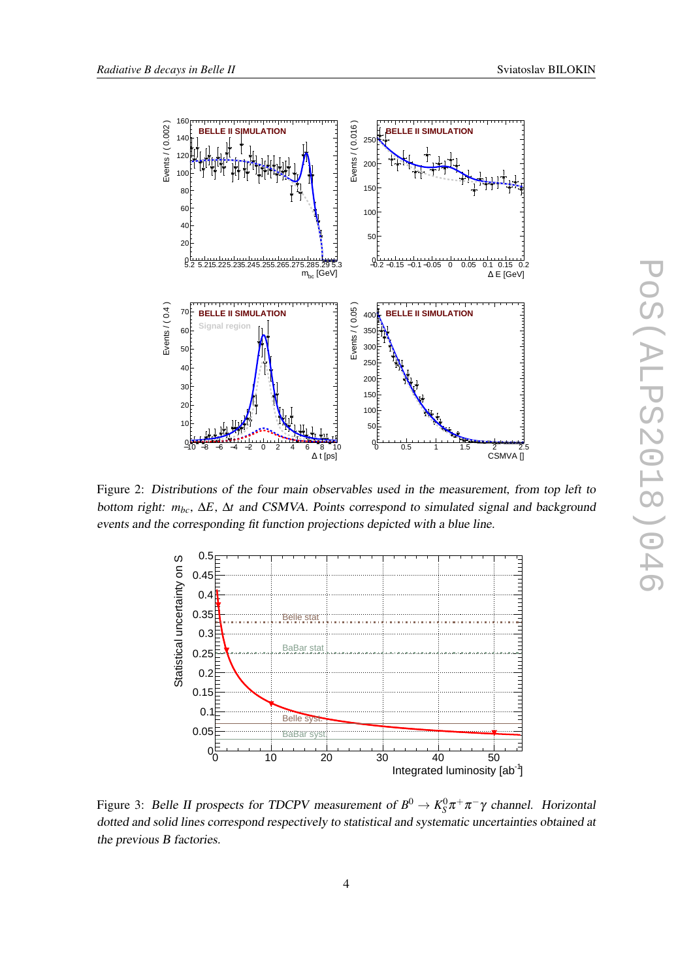<span id="page-4-0"></span>

Figure 2: Distributions of the four main observables used in the measurement, from top left to bottom right: *mbc*, ∆*E*, ∆*t* and CSMVA. Points correspond to simulated signal and background events and the corresponding fit function projections depicted with a blue line.



Figure 3: Belle II prospects for TDCPV measurement of  $B^0 \to K_S^0 \pi^+ \pi^- \gamma$  channel. Horizontal dotted and solid lines correspond respectively to statistical and systematic uncertainties obtained at the previous B factories.